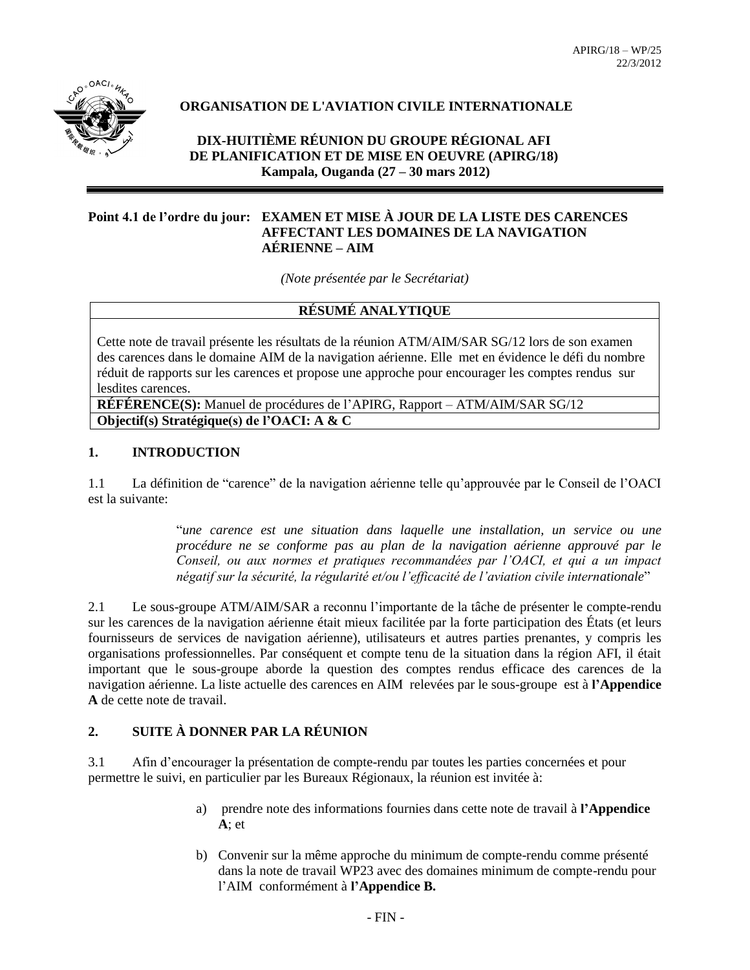

## **ORGANISATION DE L'AVIATION CIVILE INTERNATIONALE**

**DIX-HUITIÈME RÉUNION DU GROUPE RÉGIONAL AFI DE PLANIFICATION ET DE MISE EN OEUVRE (APIRG/18) Kampala, Ouganda (27 – 30 mars 2012)**

### **Point 4.1 de l'ordre du jour: EXAMEN ET MISE À JOUR DE LA LISTE DES CARENCES AFFECTANT LES DOMAINES DE LA NAVIGATION AÉRIENNE – AIM**

*(Note présentée par le Secrétariat)*

#### **RÉSUMÉ ANALYTIQUE**

Cette note de travail présente les résultats de la réunion ATM/AIM/SAR SG/12 lors de son examen des carences dans le domaine AIM de la navigation aérienne. Elle met en évidence le défi du nombre réduit de rapports sur les carences et propose une approche pour encourager les comptes rendus sur lesdites carences.

**RÉFÉRENCE(S):** Manuel de procédures de l'APIRG, Rapport – ATM/AIM/SAR SG/12 **Objectif(s) Stratégique(s) de l'OACI: A & C**

#### **1. INTRODUCTION**

1.1 La définition de "carence" de la navigation aérienne telle qu'approuvée par le Conseil de l'OACI est la suivante:

> "*une carence est une situation dans laquelle une installation, un service ou une procédure ne se conforme pas au plan de la navigation aérienne approuvé par le Conseil, ou aux normes et pratiques recommandées par l'OACI, et qui a un impact négatif sur la sécurité, la régularité et/ou l'efficacité de l'aviation civile internationale*"

2.1 Le sous-groupe ATM/AIM/SAR a reconnu l'importante de la tâche de présenter le compte-rendu sur les carences de la navigation aérienne était mieux facilitée par la forte participation des États (et leurs fournisseurs de services de navigation aérienne), utilisateurs et autres parties prenantes, y compris les organisations professionnelles. Par conséquent et compte tenu de la situation dans la région AFI, il était important que le sous-groupe aborde la question des comptes rendus efficace des carences de la navigation aérienne. La liste actuelle des carences en AIM relevées par le sous-groupe est à **l'Appendice A** de cette note de travail.

# **2. SUITE À DONNER PAR LA RÉUNION**

3.1 Afin d'encourager la présentation de compte-rendu par toutes les parties concernées et pour permettre le suivi, en particulier par les Bureaux Régionaux, la réunion est invitée à:

- a) prendre note des informations fournies dans cette note de travail à **l'Appendice A**; et
- b) Convenir sur la même approche du minimum de compte-rendu comme présenté dans la note de travail WP23 avec des domaines minimum de compte-rendu pour l'AIM conformément à **l'Appendice B.**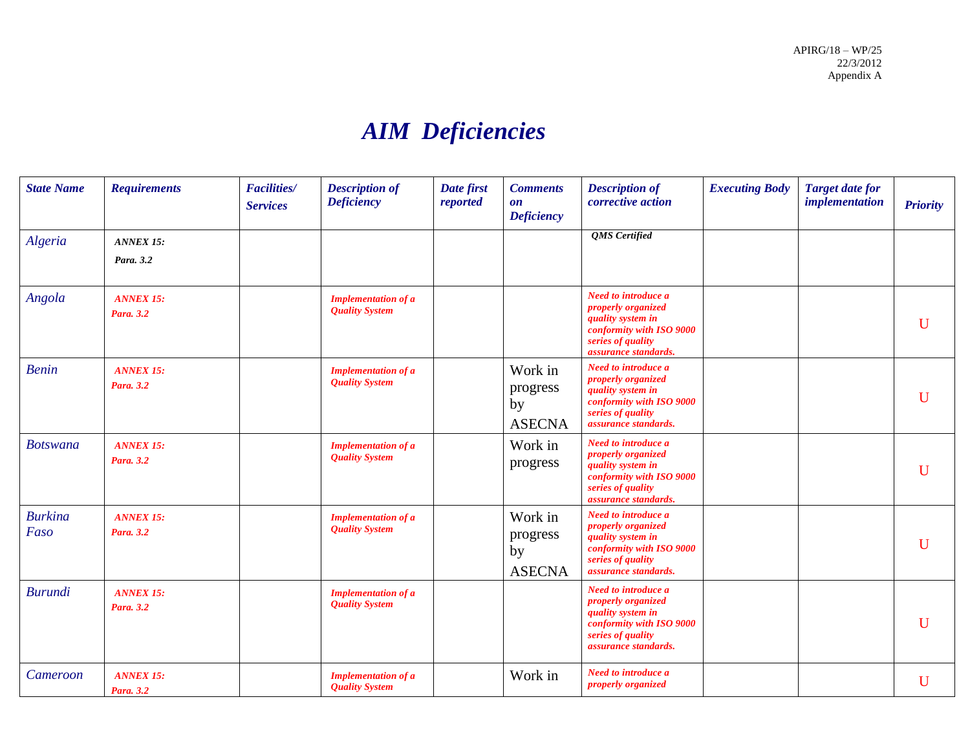# *AIM Deficiencies*

| <b>State Name</b>      | <b>Requirements</b>           | <b>Facilities/</b><br><b>Services</b> | <b>Description of</b><br><b>Deficiency</b>          | Date first<br>reported | <b>Comments</b><br>$\mathbf{0}\mathbf{n}$<br><b>Deficiency</b> | <b>Description of</b><br>corrective action                                                                                                     | <b>Executing Body</b> | <b>Target date for</b><br><i>implementation</i> | <b>Priority</b> |
|------------------------|-------------------------------|---------------------------------------|-----------------------------------------------------|------------------------|----------------------------------------------------------------|------------------------------------------------------------------------------------------------------------------------------------------------|-----------------------|-------------------------------------------------|-----------------|
| Algeria                | <b>ANNEX 15:</b><br>Para. 3.2 |                                       |                                                     |                        |                                                                | <b>QMS</b> Certified                                                                                                                           |                       |                                                 |                 |
| Angola                 | <b>ANNEX 15:</b><br>Para. 3.2 |                                       | <b>Implementation of a</b><br><b>Quality System</b> |                        |                                                                | Need to introduce a<br>properly organized<br>quality system in<br>conformity with ISO 9000<br>series of quality<br>assurance standards.        |                       |                                                 | U               |
| <b>Benin</b>           | <b>ANNEX 15:</b><br>Para. 3.2 |                                       | <b>Implementation of a</b><br><b>Quality System</b> |                        | Work in<br>progress<br>by<br><b>ASECNA</b>                     | Need to introduce a<br><i>properly organized</i><br>quality system in<br>conformity with ISO 9000<br>series of quality<br>assurance standards. |                       |                                                 | U               |
| <b>Botswana</b>        | <b>ANNEX 15:</b><br>Para, 3.2 |                                       | <b>Implementation of a</b><br><b>Quality System</b> |                        | Work in<br>progress                                            | Need to introduce a<br>properly organized<br>quality system in<br>conformity with ISO 9000<br>series of quality<br>assurance standards.        |                       |                                                 | U               |
| <b>Burkina</b><br>Faso | <b>ANNEX 15:</b><br>Para, 3.2 |                                       | <b>Implementation of a</b><br><b>Quality System</b> |                        | Work in<br>progress<br>by<br><b>ASECNA</b>                     | Need to introduce a<br>properly organized<br>quality system in<br>conformity with ISO 9000<br>series of quality<br>assurance standards.        |                       |                                                 | U               |
| <b>Burundi</b>         | <b>ANNEX 15:</b><br>Para. 3.2 |                                       | <b>Implementation of a</b><br><b>Quality System</b> |                        |                                                                | Need to introduce a<br><i>properly organized</i><br>quality system in<br>conformity with ISO 9000<br>series of quality<br>assurance standards. |                       |                                                 | U               |
| Cameroon               | <b>ANNEX 15:</b><br>Para. 3.2 |                                       | <b>Implementation of a</b><br><b>Quality System</b> |                        | Work in                                                        | Need to introduce a<br>properly organized                                                                                                      |                       |                                                 | U               |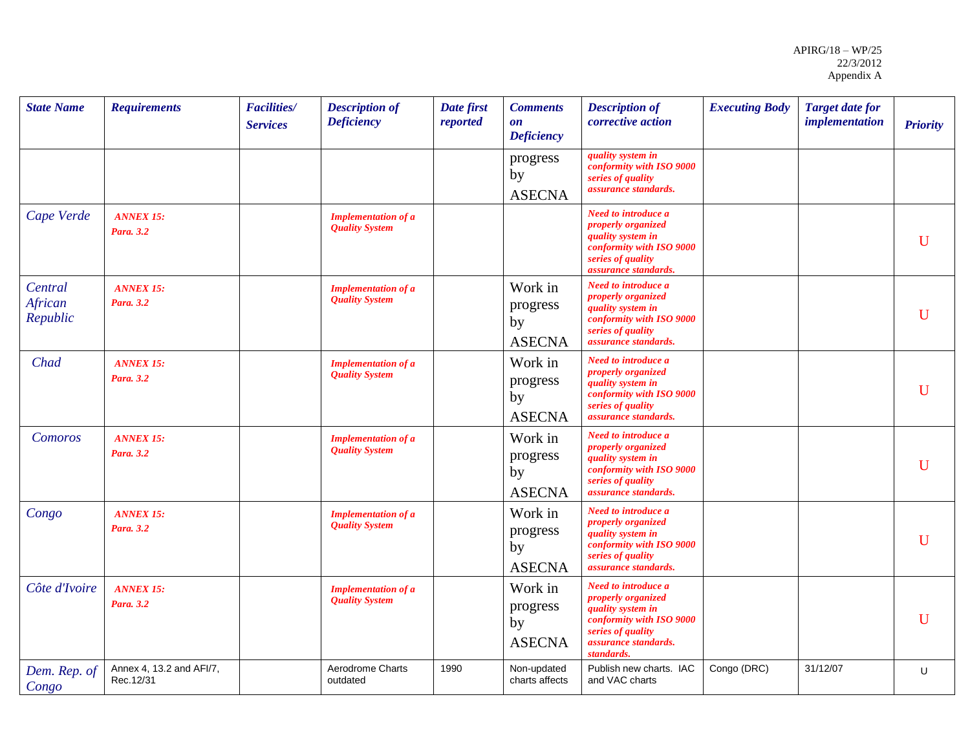| <b>State Name</b>              | <b>Requirements</b>                   | <b>Facilities/</b><br><b>Services</b> | <b>Description of</b><br><b>Deficiency</b>          | Date first<br>reported | <b>Comments</b><br>$\mathbf{0}\mathbf{n}$<br><b>Deficiency</b> | <b>Description of</b><br>corrective action                                                                                                                   | <b>Executing Body</b> | <b>Target date for</b><br><i>implementation</i> | <b>Priority</b> |
|--------------------------------|---------------------------------------|---------------------------------------|-----------------------------------------------------|------------------------|----------------------------------------------------------------|--------------------------------------------------------------------------------------------------------------------------------------------------------------|-----------------------|-------------------------------------------------|-----------------|
|                                |                                       |                                       |                                                     |                        | progress<br>by<br><b>ASECNA</b>                                | quality system in<br>conformity with ISO 9000<br>series of quality<br>assurance standards.                                                                   |                       |                                                 |                 |
| Cape Verde                     | <b>ANNEX 15:</b><br><b>Para. 3.2</b>  |                                       | <b>Implementation of a</b><br><b>Quality System</b> |                        |                                                                | Need to introduce a<br>properly organized<br>quality system in<br>conformity with ISO 9000<br>series of quality<br>assurance standards.                      |                       |                                                 | U               |
| Central<br>African<br>Republic | <b>ANNEX 15:</b><br>Para, 3.2         |                                       | <b>Implementation of a</b><br><b>Quality System</b> |                        | Work in<br>progress<br>by<br><b>ASECNA</b>                     | Need to introduce a<br>properly organized<br>quality system in<br>conformity with ISO 9000<br>series of quality<br>assurance standards.                      |                       |                                                 | U               |
| Chad                           | <b>ANNEX 15:</b><br>Para. 3.2         |                                       | <b>Implementation of a</b><br><b>Quality System</b> |                        | Work in<br>progress<br>by<br><b>ASECNA</b>                     | Need to introduce a<br><i>properly organized</i><br>quality system in<br>conformity with ISO 9000<br>series of quality<br>assurance standards.               |                       |                                                 | U               |
| Comoros                        | <b>ANNEX 15:</b><br>Para, 3.2         |                                       | <b>Implementation of a</b><br><b>Quality System</b> |                        | Work in<br>progress<br>by<br><b>ASECNA</b>                     | <b>Need to introduce a</b><br><i>properly organized</i><br>quality system in<br>conformity with ISO 9000<br>series of quality<br>assurance standards.        |                       |                                                 | U               |
| Congo                          | <b>ANNEX 15:</b><br>Para. 3.2         |                                       | <b>Implementation of a</b><br><b>Quality System</b> |                        | Work in<br>progress<br>by<br><b>ASECNA</b>                     | Need to introduce a<br>properly organized<br>quality system in<br>conformity with ISO 9000<br>series of quality<br>assurance standards.                      |                       |                                                 | U               |
| Côte d'Ivoire                  | <b>ANNEX 15:</b><br>Para. 3.2         |                                       | <b>Implementation of a</b><br><b>Quality System</b> |                        | Work in<br>progress<br>by<br><b>ASECNA</b>                     | Need to introduce a<br><i>properly organized</i><br>quality system in<br>conformity with ISO 9000<br>series of quality<br>assurance standards.<br>standards. |                       |                                                 | U               |
| Dem. Rep. of<br>Congo          | Annex 4, 13.2 and AFI/7,<br>Rec.12/31 |                                       | Aerodrome Charts<br>outdated                        | 1990                   | Non-updated<br>charts affects                                  | Publish new charts. IAC<br>and VAC charts                                                                                                                    | Congo (DRC)           | 31/12/07                                        | U               |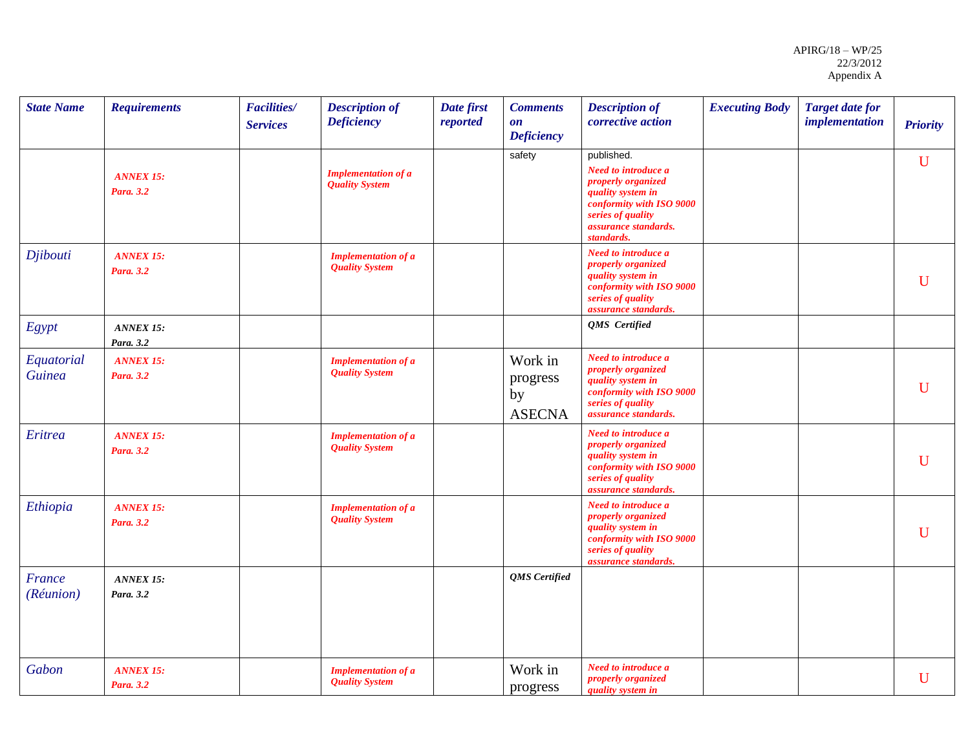| <b>State Name</b>           | <b>Requirements</b>           | <b>Facilities/</b><br><b>Services</b> | <b>Description of</b><br><b>Deficiency</b>          | Date first<br>reported | <b>Comments</b><br>$\mathbf{0}\mathbf{n}$<br><b>Deficiency</b> | <b>Description of</b><br>corrective action                                                                                                                          | <b>Executing Body</b> | <b>Target date for</b><br><i>implementation</i> | <b>Priority</b> |
|-----------------------------|-------------------------------|---------------------------------------|-----------------------------------------------------|------------------------|----------------------------------------------------------------|---------------------------------------------------------------------------------------------------------------------------------------------------------------------|-----------------------|-------------------------------------------------|-----------------|
|                             | <b>ANNEX 15:</b><br>Para. 3.2 |                                       | <b>Implementation of a</b><br><b>Quality System</b> |                        | safety                                                         | published.<br>Need to introduce a<br>properly organized<br>quality system in<br>conformity with ISO 9000<br>series of quality<br>assurance standards.<br>standards. |                       |                                                 | $\mathbf U$     |
| Djibouti                    | <b>ANNEX 15:</b><br>Para. 3.2 |                                       | <b>Implementation of a</b><br><b>Quality System</b> |                        |                                                                | <b>Need to introduce a</b><br><i>properly organized</i><br>quality system in<br>conformity with ISO 9000<br>series of quality<br>assurance standards.               |                       |                                                 | $\mathbf U$     |
| Egypt                       | ANNEX 15:<br>Para. 3.2        |                                       |                                                     |                        |                                                                | QMS Certified                                                                                                                                                       |                       |                                                 |                 |
| Equatorial<br><b>Guinea</b> | <b>ANNEX 15:</b><br>Para. 3.2 |                                       | <b>Implementation of a</b><br><b>Quality System</b> |                        | Work in<br>progress<br>by<br><b>ASECNA</b>                     | <b>Need to introduce a</b><br><i>properly organized</i><br>quality system in<br>conformity with ISO 9000<br>series of quality<br>assurance standards.               |                       |                                                 | $\mathbf{U}$    |
| Eritrea                     | <b>ANNEX 15:</b><br>Para. 3.2 |                                       | <b>Implementation of a</b><br><b>Quality System</b> |                        |                                                                | Need to introduce a<br>properly organized<br>quality system in<br>conformity with ISO 9000<br>series of quality<br>assurance standards.                             |                       |                                                 | $\mathbf U$     |
| Ethiopia                    | <b>ANNEX 15:</b><br>Para, 3.2 |                                       | <b>Implementation of a</b><br><b>Quality System</b> |                        |                                                                | Need to introduce a<br><i>properly organized</i><br>quality system in<br>conformity with ISO 9000<br>series of quality<br>assurance standards.                      |                       |                                                 | $\mathbf{U}$    |
| France<br>(Réunion)         | ANNEX 15:<br>Para. 3.2        |                                       |                                                     |                        | QMS Certified                                                  |                                                                                                                                                                     |                       |                                                 |                 |
| Gabon                       | <b>ANNEX 15:</b><br>Para. 3.2 |                                       | <b>Implementation of a</b><br><b>Quality System</b> |                        | Work in<br>progress                                            | Need to introduce a<br><i>properly organized</i><br>quality system in                                                                                               |                       |                                                 | $\mathbf U$     |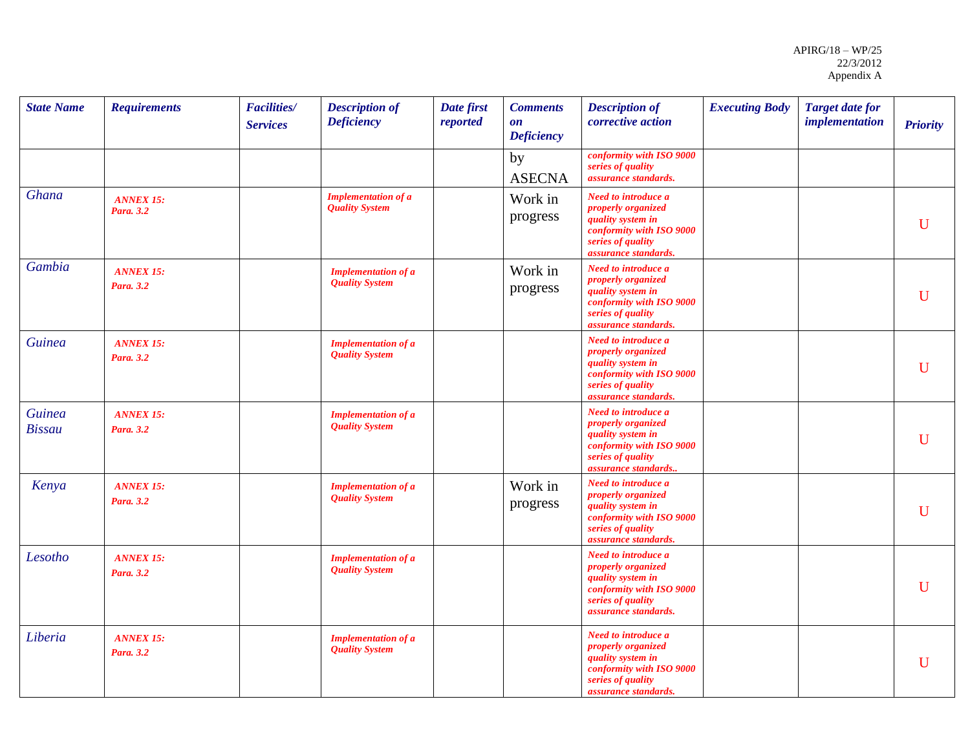| <b>State Name</b>              | <b>Requirements</b>           | <b>Facilities/</b><br><b>Services</b> | <b>Description of</b><br><b>Deficiency</b>          | Date first<br>reported | <b>Comments</b><br>$\mathbf{0}\mathbf{n}$<br><b>Deficiency</b> | <b>Description of</b><br>corrective action                                                                                                     | <b>Executing Body</b> | <b>Target date for</b><br><i>implementation</i> | <b>Priority</b> |
|--------------------------------|-------------------------------|---------------------------------------|-----------------------------------------------------|------------------------|----------------------------------------------------------------|------------------------------------------------------------------------------------------------------------------------------------------------|-----------------------|-------------------------------------------------|-----------------|
|                                |                               |                                       |                                                     |                        | by<br><b>ASECNA</b>                                            | conformity with ISO 9000<br>series of quality<br>assurance standards.                                                                          |                       |                                                 |                 |
| Ghana                          | <b>ANNEX 15:</b><br>Para. 3.2 |                                       | <b>Implementation of a</b><br><b>Quality System</b> |                        | Work in<br>progress                                            | Need to introduce a<br>properly organized<br>quality system in<br>conformity with ISO 9000<br>series of quality<br>assurance standards.        |                       |                                                 | U               |
| Gambia                         | <b>ANNEX 15:</b><br>Para, 3.2 |                                       | <b>Implementation of a</b><br><b>Quality System</b> |                        | Work in<br>progress                                            | Need to introduce a<br><i>properly organized</i><br>quality system in<br>conformity with ISO 9000<br>series of quality<br>assurance standards. |                       |                                                 | U               |
| <b>Guinea</b>                  | <b>ANNEX 15:</b><br>Para. 3.2 |                                       | <b>Implementation of a</b><br><b>Quality System</b> |                        |                                                                | Need to introduce a<br>properly organized<br>quality system in<br>conformity with ISO 9000<br>series of quality<br>assurance standards.        |                       |                                                 | $\mathbf U$     |
| <b>Guinea</b><br><b>Bissau</b> | <b>ANNEX 15:</b><br>Para. 3.2 |                                       | <b>Implementation of a</b><br><b>Quality System</b> |                        |                                                                | Need to introduce a<br><i>properly organized</i><br>quality system in<br>conformity with ISO 9000<br>series of quality<br>assurance standards  |                       |                                                 | U               |
| Kenya                          | <b>ANNEX 15:</b><br>Para. 3.2 |                                       | <b>Implementation of a</b><br><b>Quality System</b> |                        | Work in<br>progress                                            | Need to introduce a<br>properly organized<br>quality system in<br>conformity with ISO 9000<br>series of quality<br>assurance standards.        |                       |                                                 | $\mathbf U$     |
| Lesotho                        | <b>ANNEX 15:</b><br>Para. 3.2 |                                       | <b>Implementation of a</b><br><b>Quality System</b> |                        |                                                                | Need to introduce a<br>properly organized<br>quality system in<br>conformity with ISO 9000<br>series of quality<br>assurance standards.        |                       |                                                 | U               |
| Liberia                        | <b>ANNEX 15:</b><br>Para. 3.2 |                                       | <b>Implementation of a</b><br><b>Quality System</b> |                        |                                                                | Need to introduce a<br>properly organized<br>quality system in<br>conformity with ISO 9000<br>series of quality<br>assurance standards.        |                       |                                                 | U               |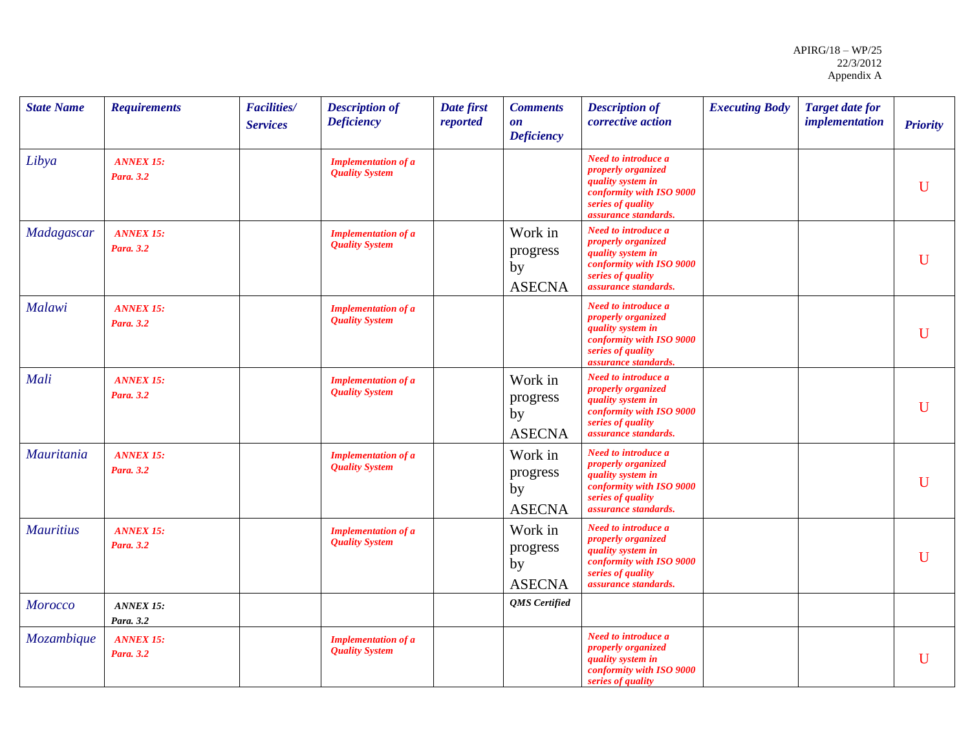| <b>State Name</b> | <b>Requirements</b>           | <b>Facilities/</b><br><b>Services</b> | <b>Description of</b><br><b>Deficiency</b>          | Date first<br>reported | <b>Comments</b><br>$\mathbf{0}\mathbf{n}$<br><b>Deficiency</b> | <b>Description of</b><br>corrective action                                                                                                     | <b>Executing Body</b> | <b>Target date for</b><br><i>implementation</i> | <b>Priority</b> |
|-------------------|-------------------------------|---------------------------------------|-----------------------------------------------------|------------------------|----------------------------------------------------------------|------------------------------------------------------------------------------------------------------------------------------------------------|-----------------------|-------------------------------------------------|-----------------|
| Libya             | <b>ANNEX 15:</b><br>Para. 3.2 |                                       | <b>Implementation of a</b><br><b>Quality System</b> |                        |                                                                | Need to introduce a<br><i>properly organized</i><br>quality system in<br>conformity with ISO 9000<br>series of quality<br>assurance standards. |                       |                                                 | $\mathbf U$     |
| Madagascar        | <b>ANNEX 15:</b><br>Para. 3.2 |                                       | <b>Implementation of a</b><br><b>Quality System</b> |                        | Work in<br>progress<br>by<br><b>ASECNA</b>                     | Need to introduce a<br><i>properly organized</i><br>quality system in<br>conformity with ISO 9000<br>series of quality<br>assurance standards. |                       |                                                 | $\mathbf U$     |
| Malawi            | <b>ANNEX 15:</b><br>Para. 3.2 |                                       | <b>Implementation of a</b><br><b>Quality System</b> |                        |                                                                | <b>Need to introduce a</b><br>properly organized<br>quality system in<br>conformity with ISO 9000<br>series of quality<br>assurance standards. |                       |                                                 | U               |
| Mali              | <b>ANNEX 15:</b><br>Para. 3.2 |                                       | <b>Implementation of a</b><br><b>Quality System</b> |                        | Work in<br>progress<br>by<br><b>ASECNA</b>                     | Need to introduce a<br><i>properly organized</i><br>quality system in<br>conformity with ISO 9000<br>series of quality<br>assurance standards. |                       |                                                 | U               |
| Mauritania        | <b>ANNEX 15:</b><br>Para. 3.2 |                                       | <b>Implementation of a</b><br><b>Quality System</b> |                        | Work in<br>progress<br>by<br><b>ASECNA</b>                     | Need to introduce a<br>properly organized<br>quality system in<br>conformity with ISO 9000<br>series of quality<br>assurance standards.        |                       |                                                 | U               |
| <b>Mauritius</b>  | <b>ANNEX 15:</b><br>Para. 3.2 |                                       | <b>Implementation of a</b><br><b>Quality System</b> |                        | Work in<br>progress<br>by<br><b>ASECNA</b>                     | Need to introduce a<br><i>properly organized</i><br>quality system in<br>conformity with ISO 9000<br>series of quality<br>assurance standards. |                       |                                                 | U               |
| <b>Morocco</b>    | <b>ANNEX 15:</b><br>Para. 3.2 |                                       |                                                     |                        | QMS Certified                                                  |                                                                                                                                                |                       |                                                 |                 |
| Mozambique        | <b>ANNEX 15:</b><br>Para. 3.2 |                                       | <b>Implementation of a</b><br><b>Quality System</b> |                        |                                                                | Need to introduce a<br>properly organized<br>quality system in<br>conformity with ISO 9000<br>series of quality                                |                       |                                                 | U               |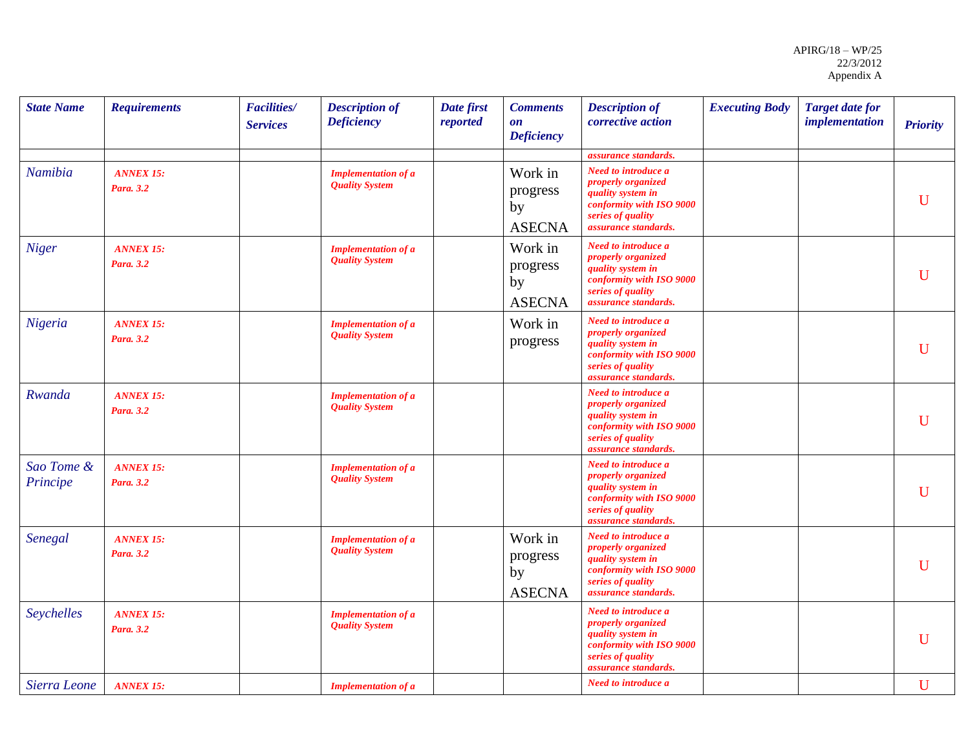| <b>State Name</b>      | <b>Requirements</b>           | <b>Facilities/</b><br><b>Services</b> | <b>Description of</b><br><b>Deficiency</b>          | Date first<br>reported | <b>Comments</b><br>$\mathbf{0}\mathbf{n}$<br><b>Deficiency</b> | <b>Description of</b><br>corrective action                                                                                                            | <b>Executing Body</b> | <b>Target date for</b><br><i>implementation</i> | <b>Priority</b> |
|------------------------|-------------------------------|---------------------------------------|-----------------------------------------------------|------------------------|----------------------------------------------------------------|-------------------------------------------------------------------------------------------------------------------------------------------------------|-----------------------|-------------------------------------------------|-----------------|
|                        |                               |                                       |                                                     |                        |                                                                | assurance standards.                                                                                                                                  |                       |                                                 |                 |
| Namibia                | <b>ANNEX 15:</b><br>Para. 3.2 |                                       | <b>Implementation of a</b><br><b>Quality System</b> |                        | Work in<br>progress<br>by<br><b>ASECNA</b>                     | Need to introduce a<br><i>properly organized</i><br>quality system in<br>conformity with ISO 9000<br>series of quality<br>assurance standards.        |                       |                                                 | U               |
| <b>Niger</b>           | <b>ANNEX 15:</b><br>Para. 3.2 |                                       | <b>Implementation of a</b><br><b>Quality System</b> |                        | Work in<br>progress<br>by<br><b>ASECNA</b>                     | Need to introduce a<br><i>properly organized</i><br>quality system in<br>conformity with ISO 9000<br>series of quality<br>assurance standards.        |                       |                                                 | $\mathbf U$     |
| Nigeria                | <b>ANNEX 15:</b><br>Para. 3.2 |                                       | <b>Implementation of a</b><br><b>Quality System</b> |                        | Work in<br>progress                                            | <b>Need to introduce a</b><br><i>properly organized</i><br>quality system in<br>conformity with ISO 9000<br>series of quality<br>assurance standards. |                       |                                                 | U               |
| Rwanda                 | <b>ANNEX 15:</b><br>Para. 3.2 |                                       | <b>Implementation of a</b><br><b>Quality System</b> |                        |                                                                | Need to introduce a<br><i>properly organized</i><br>quality system in<br>conformity with ISO 9000<br>series of quality<br>assurance standards.        |                       |                                                 | $\mathbf U$     |
| Sao Tome &<br>Principe | <b>ANNEX 15:</b><br>Para. 3.2 |                                       | <b>Implementation of a</b><br><b>Quality System</b> |                        |                                                                | Need to introduce a<br><i>properly organized</i><br>quality system in<br>conformity with ISO 9000<br>series of quality<br>assurance standards.        |                       |                                                 | $\mathbf U$     |
| Senegal                | <b>ANNEX 15:</b><br>Para. 3.2 |                                       | <b>Implementation of a</b><br><b>Quality System</b> |                        | Work in<br>progress<br>by<br><b>ASECNA</b>                     | Need to introduce a<br><i>properly organized</i><br>quality system in<br>conformity with ISO 9000<br>series of quality<br>assurance standards.        |                       |                                                 | $\mathbf U$     |
| Seychelles             | <b>ANNEX 15:</b><br>Para. 3.2 |                                       | <b>Implementation of a</b><br><b>Quality System</b> |                        |                                                                | Need to introduce a<br><i>properly organized</i><br>quality system in<br>conformity with ISO 9000<br>series of quality<br>assurance standards.        |                       |                                                 | U               |
| Sierra Leone           | <b>ANNEX 15:</b>              |                                       | <b>Implementation of a</b>                          |                        |                                                                | Need to introduce a                                                                                                                                   |                       |                                                 | $\mathbf U$     |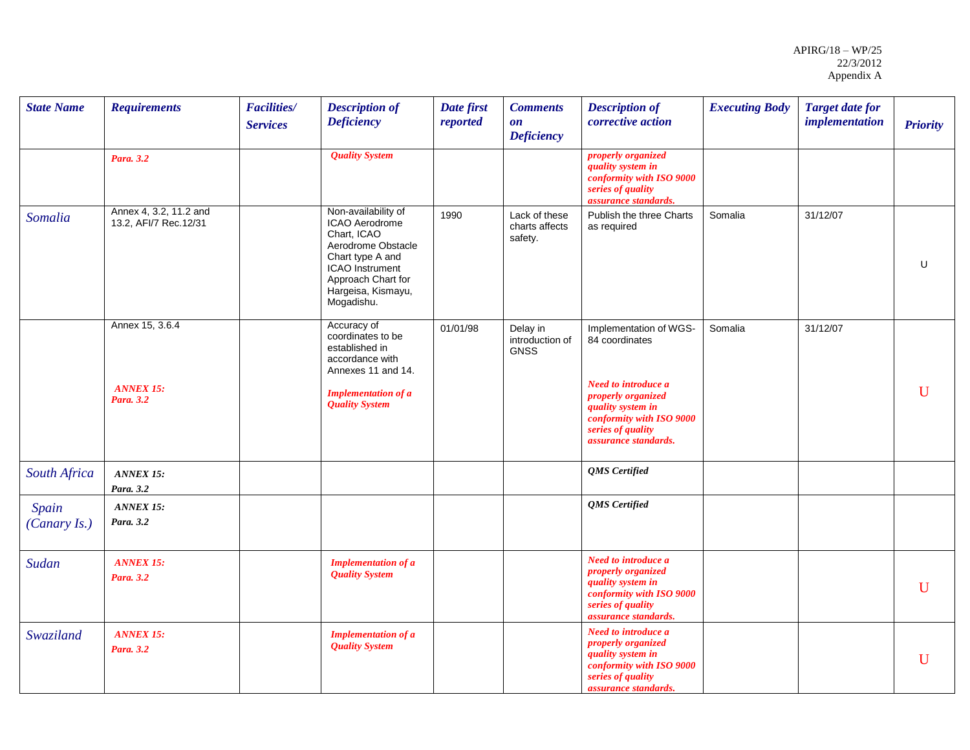| <b>State Name</b>     | <b>Requirements</b>                              | <b>Facilities/</b><br><b>Services</b> | <b>Description of</b><br><b>Deficiency</b>                                                                                                                                  | Date first<br>reported | <b>Comments</b><br>$\mathbf{0}n$<br><b>Deficiency</b> | <b>Description of</b><br>corrective action                                                                                                                                          | <b>Executing Body</b> | <b>Target date for</b><br><i>implementation</i> | <b>Priority</b> |
|-----------------------|--------------------------------------------------|---------------------------------------|-----------------------------------------------------------------------------------------------------------------------------------------------------------------------------|------------------------|-------------------------------------------------------|-------------------------------------------------------------------------------------------------------------------------------------------------------------------------------------|-----------------------|-------------------------------------------------|-----------------|
|                       | Para. 3.2                                        |                                       | <b>Quality System</b>                                                                                                                                                       |                        |                                                       | properly organized<br>quality system in<br>conformity with ISO 9000<br>series of quality<br>assurance standards.                                                                    |                       |                                                 |                 |
| Somalia               | Annex 4, 3.2, 11.2 and<br>13.2, AFI/7 Rec.12/31  |                                       | Non-availability of<br>ICAO Aerodrome<br>Chart, ICAO<br>Aerodrome Obstacle<br>Chart type A and<br>ICAO Instrument<br>Approach Chart for<br>Hargeisa, Kismayu,<br>Mogadishu. | 1990                   | Lack of these<br>charts affects<br>safety.            | Publish the three Charts<br>as required                                                                                                                                             | Somalia               | 31/12/07                                        | U               |
|                       | Annex 15, 3.6.4<br><b>ANNEX 15:</b><br>Para. 3.2 |                                       | Accuracy of<br>coordinates to be<br>established in<br>accordance with<br>Annexes 11 and 14.<br><b>Implementation of a</b><br><b>Quality System</b>                          | 01/01/98               | Delay in<br>introduction of<br><b>GNSS</b>            | Implementation of WGS-<br>84 coordinates<br>Need to introduce a<br>properly organized<br>quality system in<br>conformity with ISO 9000<br>series of quality<br>assurance standards. | Somalia               | 31/12/07                                        | $\mathbf{U}$    |
| South Africa          | ANNEX 15:<br>Para. 3.2                           |                                       |                                                                                                                                                                             |                        |                                                       | QMS Certified                                                                                                                                                                       |                       |                                                 |                 |
| Spain<br>(Canary Is.) | <b>ANNEX 15:</b><br>Para. 3.2                    |                                       |                                                                                                                                                                             |                        |                                                       | QMS Certified                                                                                                                                                                       |                       |                                                 |                 |
| Sudan                 | <b>ANNEX 15:</b><br>Para. 3.2                    |                                       | <b>Implementation of a</b><br><b>Quality System</b>                                                                                                                         |                        |                                                       | Need to introduce a<br><i>properly organized</i><br>quality system in<br>conformity with ISO 9000<br>series of quality<br>assurance standards.                                      |                       |                                                 | $\mathbf U$     |
| Swaziland             | <b>ANNEX 15:</b><br>Para. 3.2                    |                                       | <b>Implementation of a</b><br><b>Quality System</b>                                                                                                                         |                        |                                                       | Need to introduce a<br>properly organized<br>quality system in<br>conformity with ISO 9000<br>series of quality<br>assurance standards.                                             |                       |                                                 | $\mathbf U$     |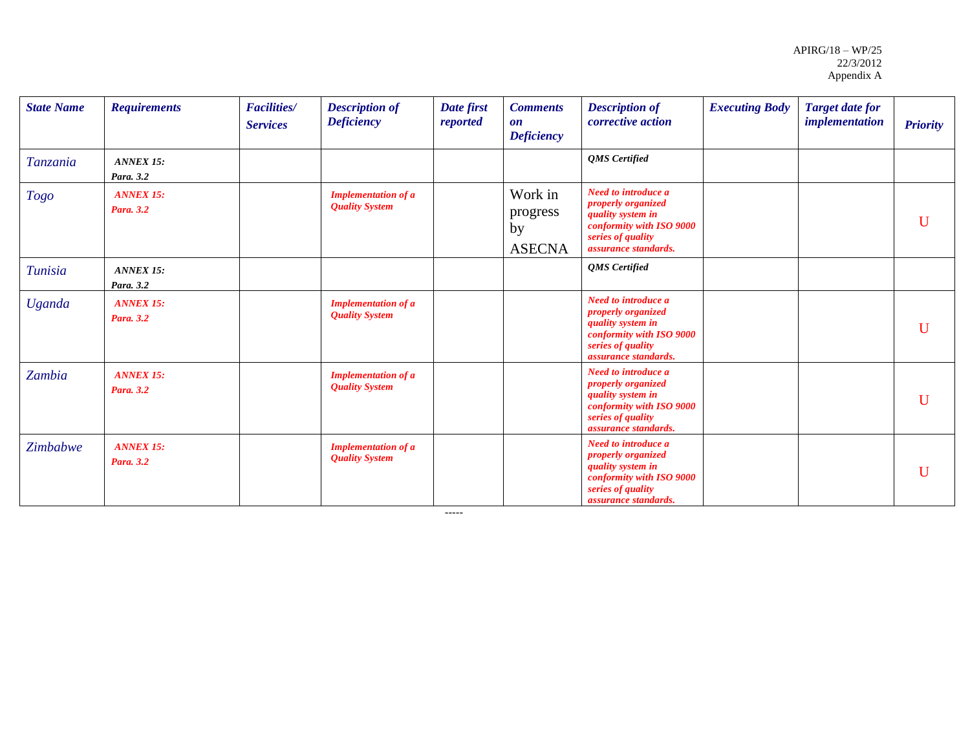| <b>State Name</b> | <b>Requirements</b>           | <b>Facilities/</b><br><b>Services</b> | <b>Description of</b><br><b>Deficiency</b>          | Date first<br>reported | <b>Comments</b><br>$\mathbf{on}$<br><b>Deficiency</b> | <b>Description of</b><br>corrective action                                                                                                     | <b>Executing Body</b> | <b>Target date for</b><br>implementation | <b>Priority</b> |
|-------------------|-------------------------------|---------------------------------------|-----------------------------------------------------|------------------------|-------------------------------------------------------|------------------------------------------------------------------------------------------------------------------------------------------------|-----------------------|------------------------------------------|-----------------|
| Tanzania          | <b>ANNEX 15:</b><br>Para. 3.2 |                                       |                                                     |                        |                                                       | <b>QMS</b> Certified                                                                                                                           |                       |                                          |                 |
| <b>Togo</b>       | <b>ANNEX 15:</b><br>Para. 3.2 |                                       | <b>Implementation of a</b><br><b>Quality System</b> |                        | Work in<br>progress<br>by<br><b>ASECNA</b>            | <b>Need to introduce a</b><br>properly organized<br>quality system in<br>conformity with ISO 9000<br>series of quality<br>assurance standards. |                       |                                          | $\bf U$         |
| <b>Tunisia</b>    | <b>ANNEX 15:</b><br>Para. 3.2 |                                       |                                                     |                        |                                                       | <b>QMS</b> Certified                                                                                                                           |                       |                                          |                 |
| <b>Uganda</b>     | <b>ANNEX 15:</b><br>Para. 3.2 |                                       | <b>Implementation of a</b><br><b>Quality System</b> |                        |                                                       | Need to introduce a<br>properly organized<br>quality system in<br>conformity with ISO 9000<br>series of quality<br>assurance standards.        |                       |                                          | $\mathbf U$     |
| Zambia            | <b>ANNEX 15:</b><br>Para. 3.2 |                                       | <b>Implementation of a</b><br><b>Quality System</b> |                        |                                                       | Need to introduce a<br><i>properly organized</i><br>quality system in<br>conformity with ISO 9000<br>series of quality<br>assurance standards. |                       |                                          | $\bf U$         |
| Zimbabwe          | <b>ANNEX 15:</b><br>Para. 3.2 |                                       | <b>Implementation of a</b><br><b>Quality System</b> |                        |                                                       | Need to introduce a<br>properly organized<br>quality system in<br>conformity with ISO 9000<br>series of quality<br>assurance standards.        |                       |                                          | $\bf U$         |

-----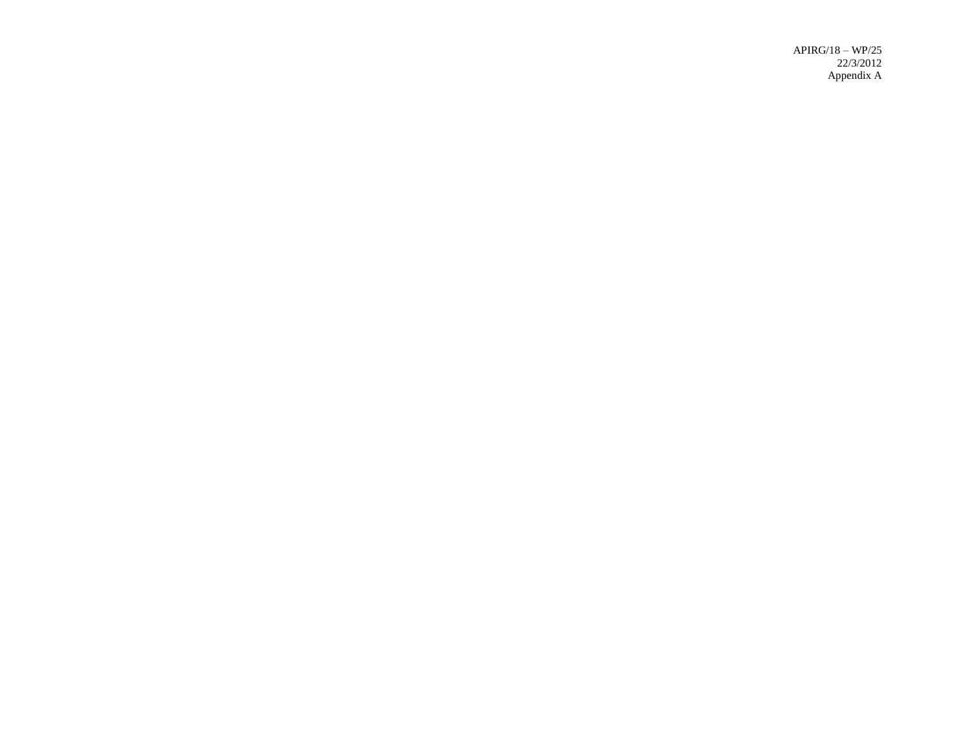APIRG/18 – WP/25 22/3/2012 Appendix A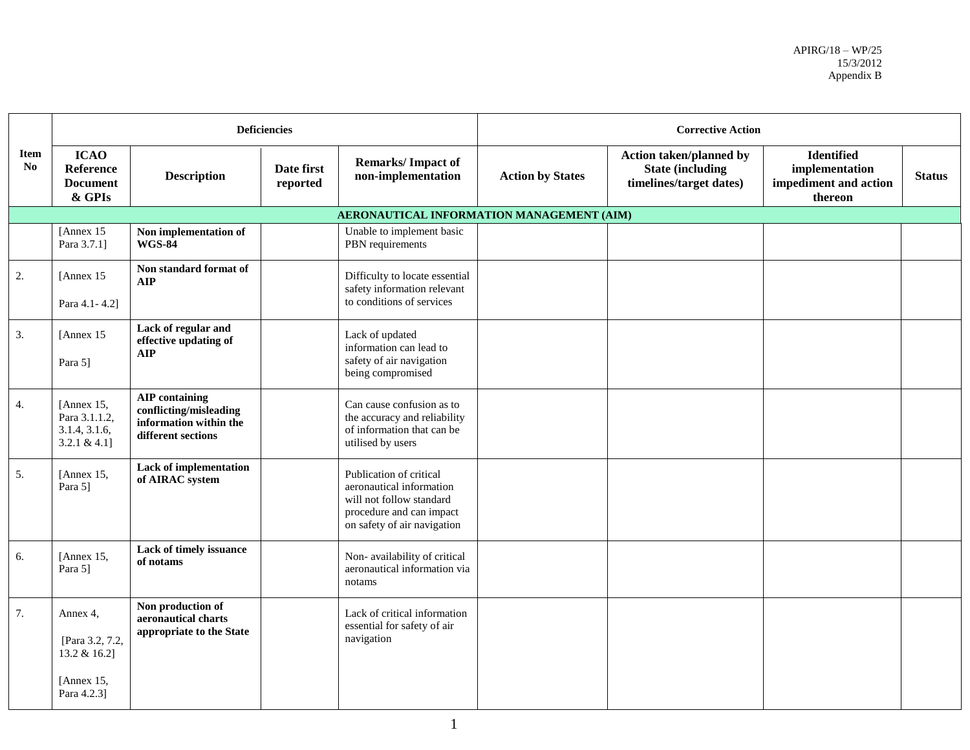|                               |                                                                             |                                                                                                 | <b>Deficiencies</b>    |                                                                                                                                            |                         | <b>Corrective Action</b>                                                       |                                                                         |               |  |  |  |  |
|-------------------------------|-----------------------------------------------------------------------------|-------------------------------------------------------------------------------------------------|------------------------|--------------------------------------------------------------------------------------------------------------------------------------------|-------------------------|--------------------------------------------------------------------------------|-------------------------------------------------------------------------|---------------|--|--|--|--|
| <b>Item</b><br>N <sub>0</sub> | <b>ICAO</b><br><b>Reference</b><br><b>Document</b><br>& GPIs                | <b>Description</b>                                                                              | Date first<br>reported | <b>Remarks/Impact of</b><br>non-implementation                                                                                             | <b>Action by States</b> | Action taken/planned by<br><b>State (including)</b><br>timelines/target dates) | <b>Identified</b><br>implementation<br>impediment and action<br>thereon | <b>Status</b> |  |  |  |  |
|                               |                                                                             |                                                                                                 |                        | AERONAUTICAL INFORMATION MANAGEMENT (AIM)                                                                                                  |                         |                                                                                |                                                                         |               |  |  |  |  |
|                               | [Annex 15]<br>Para 3.7.1]                                                   | Non implementation of<br><b>WGS-84</b>                                                          |                        | Unable to implement basic<br>PBN requirements                                                                                              |                         |                                                                                |                                                                         |               |  |  |  |  |
| 2.                            | [Annex 15]<br>Para 4.1-4.2]                                                 | Non standard format of<br><b>AIP</b>                                                            |                        | Difficulty to locate essential<br>safety information relevant<br>to conditions of services                                                 |                         |                                                                                |                                                                         |               |  |  |  |  |
| 3.                            | [Annex 15]<br>Para 5]                                                       | Lack of regular and<br>effective updating of<br><b>AIP</b>                                      |                        | Lack of updated<br>information can lead to<br>safety of air navigation<br>being compromised                                                |                         |                                                                                |                                                                         |               |  |  |  |  |
| 4.                            | [Annex 15,<br>Para 3.1.1.2,<br>3.1.4, 3.1.6,<br>3.2.1 & $4.1$ ]             | <b>AIP</b> containing<br>conflicting/misleading<br>information within the<br>different sections |                        | Can cause confusion as to<br>the accuracy and reliability<br>of information that can be<br>utilised by users                               |                         |                                                                                |                                                                         |               |  |  |  |  |
| 5.                            | [Annex 15,<br>Para 5]                                                       | <b>Lack of implementation</b><br>of AIRAC system                                                |                        | Publication of critical<br>aeronautical information<br>will not follow standard<br>procedure and can impact<br>on safety of air navigation |                         |                                                                                |                                                                         |               |  |  |  |  |
| 6.                            | [Annex 15,<br>Para 5]                                                       | Lack of timely issuance<br>of notams                                                            |                        | Non-availability of critical<br>aeronautical information via<br>notams                                                                     |                         |                                                                                |                                                                         |               |  |  |  |  |
| 7.                            | Annex 4,<br>[Para 3.2, 7.2,<br>13.2 & 16.2]<br>[Annex $15$ ,<br>Para 4.2.3] | Non production of<br>aeronautical charts<br>appropriate to the State                            |                        | Lack of critical information<br>essential for safety of air<br>navigation                                                                  |                         |                                                                                |                                                                         |               |  |  |  |  |